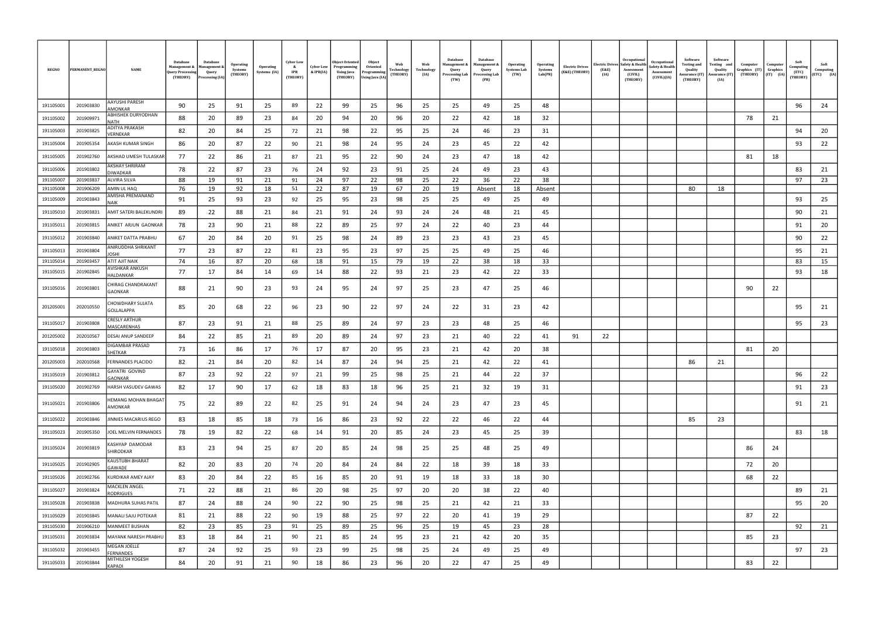| <b>REGNO</b> | PERMANENT_REGNO | <b>NAME</b>                                | Database<br><b>Management &amp;</b><br>Juery Processing<br>(THEORY) | Database<br><b>Management &amp;</b><br>Query<br>Processing (IA) | <b>Operating</b><br>Systems<br>(THEORY) | <b>Operating</b><br>Systems (IA) | <b>Cyber Low</b><br>$\mathbf{k}$<br><b>IPR</b><br>(THEORY) | <b>Cyber Low</b><br>& IPR(IA) | <b>Object Oriented</b><br>Programming<br>Using Java<br>(THEORY) | Object<br>Oriented<br>Programming<br>Using Java (IA) | Web<br>Technology<br>(THEORY) | Web<br>Technology<br>(IA) | Database<br><b>Management &amp;</b><br>Query<br>Processing Lab<br>(TW) | Database<br>Management &<br>Query<br><b>Processing Lab</b><br>(PR) | Operating<br><b>Systems Lab</b><br>(TW) | <b>Operating</b><br>Systems<br>Lab(PR) | <b>Electric Drives</b><br>(E&E) (THEORY) | <b>Electric Drives</b><br>(E&E)<br>(IA) | Occupational<br>Safety & Health<br>Assessment<br>(CIVIL)<br>(THEORY) | Occupational<br>Safety & Health<br>Assessment<br>(CIVIL)(IA) | Software<br>Testing and<br>Quality<br>Assurance (IT)<br>(THEORY) | Software<br>Testing and<br>Quality<br>Assurance (IT)<br>(IA) | Computer<br>Graphics (IT)<br>(THEORY) | Computer<br>Graphics<br>$(IT)$ $(IA)$ | Soft<br>Computing<br>(ETC)<br>(THEORY) | Soft<br>Computing<br>$(ETC)$ $(IA)$ |
|--------------|-----------------|--------------------------------------------|---------------------------------------------------------------------|-----------------------------------------------------------------|-----------------------------------------|----------------------------------|------------------------------------------------------------|-------------------------------|-----------------------------------------------------------------|------------------------------------------------------|-------------------------------|---------------------------|------------------------------------------------------------------------|--------------------------------------------------------------------|-----------------------------------------|----------------------------------------|------------------------------------------|-----------------------------------------|----------------------------------------------------------------------|--------------------------------------------------------------|------------------------------------------------------------------|--------------------------------------------------------------|---------------------------------------|---------------------------------------|----------------------------------------|-------------------------------------|
| 191105001    | 201903830       | AAYUSHI PARESH                             | 90                                                                  | 25                                                              | 91                                      | 25                               | 89                                                         | 22                            | 99                                                              | 25                                                   | 96                            | 25                        | 25                                                                     | 49                                                                 | 25                                      | 48                                     |                                          |                                         |                                                                      |                                                              |                                                                  |                                                              |                                       |                                       | 96                                     | 24                                  |
| 191105002    | 201909971       | AMONKAR<br>ABHISHEK DURYODHAN              | 88                                                                  | 20                                                              | 89                                      | -23                              | 84                                                         | 20                            | 94                                                              | 20                                                   | 96                            | 20                        | 22                                                                     | 42                                                                 | 18                                      | 32                                     |                                          |                                         |                                                                      |                                                              |                                                                  |                                                              | 78                                    | 21                                    |                                        |                                     |
|              |                 | NATH<br>ADITYA PRAKASH                     |                                                                     |                                                                 |                                         |                                  |                                                            |                               |                                                                 |                                                      |                               |                           |                                                                        |                                                                    |                                         |                                        |                                          |                                         |                                                                      |                                                              |                                                                  |                                                              |                                       |                                       |                                        |                                     |
| 191105003    | 201903825       | VERNEKAR                                   | 82                                                                  | 20                                                              | 84                                      | 25                               | 72                                                         | 21                            | 98                                                              | 22                                                   | 95                            | 25                        | 24                                                                     | 46                                                                 | 23                                      | 31                                     |                                          |                                         |                                                                      |                                                              |                                                                  |                                                              |                                       |                                       | 94                                     | 20                                  |
| 191105004    | 201905354       | AKASH KUMAR SINGH                          | 86                                                                  | 20                                                              | 87                                      | 22                               | 90                                                         | 21                            | 98                                                              | 24                                                   | 95                            | 24                        | 23                                                                     | 45                                                                 | 22                                      | 42                                     |                                          |                                         |                                                                      |                                                              |                                                                  |                                                              |                                       |                                       | 93                                     | 22                                  |
| 191105005    | 201902760       | AKSHAD UMESH TULASKAF                      | 77                                                                  | 22                                                              | 86                                      | 21                               | 87                                                         | 21                            | 95                                                              | 22                                                   | 90                            | 24                        | 23                                                                     | 47                                                                 | 18                                      | 42                                     |                                          |                                         |                                                                      |                                                              |                                                                  |                                                              | 81                                    | 18                                    |                                        |                                     |
| 191105006    | 201903802       | AKSHAY SHRIRAM<br><b>DIWADKAR</b>          | 78                                                                  | 22                                                              | 87                                      | 23                               | 76                                                         | 24                            | 92                                                              | 23                                                   | 91                            | 25                        | 24                                                                     | 49                                                                 | 23                                      | 43                                     |                                          |                                         |                                                                      |                                                              |                                                                  |                                                              |                                       |                                       | 83                                     | 21                                  |
| 191105007    | 201903837       | ALVIRA SILVA                               | 88                                                                  | 19                                                              | 91                                      | 21                               | 91                                                         | 24                            | 97                                                              | 22                                                   | 98                            | 25                        | 22                                                                     | 36                                                                 | 22                                      | 38                                     |                                          |                                         |                                                                      |                                                              |                                                                  |                                                              |                                       |                                       | 97                                     | 23                                  |
| 191105008    | 201906209       | AMIN UL HAQ                                | 76                                                                  | 19                                                              | 92                                      | 18                               | 51                                                         | 22                            | 87                                                              | 19                                                   | 67                            | 20                        | 19                                                                     | Absent                                                             | 18                                      | Absent                                 |                                          |                                         |                                                                      |                                                              | 80                                                               | 18                                                           |                                       |                                       |                                        |                                     |
| 191105009    | 201903843       | AMISHA PREMANAND<br>NAIK                   | 91                                                                  | 25                                                              | 93                                      | 23                               | 92                                                         | 25                            | 95                                                              | 23                                                   | 98                            | 25                        | 25                                                                     | 49                                                                 | 25                                      | 49                                     |                                          |                                         |                                                                      |                                                              |                                                                  |                                                              |                                       |                                       | 93                                     | 25                                  |
| 191105010    | 201903831       | AMIT SATERI BALEKUNDRI                     | 89                                                                  | 22                                                              | 88                                      | 21                               | 84                                                         | 21                            | 91                                                              | 24                                                   | 93                            | 24                        | 24                                                                     | 48                                                                 | 21                                      | 45                                     |                                          |                                         |                                                                      |                                                              |                                                                  |                                                              |                                       |                                       | 90                                     | 21                                  |
| 191105011    | 201903815       | ANIKET ARJUN GAONKAR                       | 78                                                                  | 23                                                              | 90                                      | 21                               | 88                                                         | 22                            | 89                                                              | 25                                                   | 97                            | 24                        | 22                                                                     | 40                                                                 | 23                                      | 44                                     |                                          |                                         |                                                                      |                                                              |                                                                  |                                                              |                                       |                                       | 91                                     | 20                                  |
| 191105012    | 201903840       | ANIKET DATTA PRABHU                        | 67                                                                  | 20                                                              | 84                                      | 20                               | 91                                                         | 25                            | 98                                                              | 24                                                   | 89                            | 23                        | 23                                                                     | 43                                                                 | 23                                      | 45                                     |                                          |                                         |                                                                      |                                                              |                                                                  |                                                              |                                       |                                       | 90                                     | 22                                  |
| 191105013    | 201903804       | ANIRUDDHA SHRIKANT                         | 77                                                                  | 23                                                              | 87                                      | -22                              | 81                                                         | 23                            | 95                                                              | 23                                                   | 97                            | 25                        | 25                                                                     | 49                                                                 | 25                                      | 46                                     |                                          |                                         |                                                                      |                                                              |                                                                  |                                                              |                                       |                                       | 95                                     | 21                                  |
| 191105014    | 201903457       | OSHI<br>ATIT AJIT NAIK                     | 74                                                                  | 16                                                              | 87                                      | 20                               | 68                                                         | 18                            | 91                                                              | 15                                                   | 79                            | 19                        | 22                                                                     | 38                                                                 | 18                                      | 33                                     |                                          |                                         |                                                                      |                                                              |                                                                  |                                                              |                                       |                                       | 83                                     | 15                                  |
| 191105015    | 201902845       | <b>\VISHKAR ANKUSH</b>                     | 77                                                                  | 17                                                              | 84                                      | 14                               | 69                                                         | 14                            | 88                                                              | 22                                                   | 93                            | 21                        | 23                                                                     | 42                                                                 | 22                                      | 33                                     |                                          |                                         |                                                                      |                                                              |                                                                  |                                                              |                                       |                                       | 93                                     | 18                                  |
| 191105016    | 201903801       | HALDANKAR<br>CHIRAG CHANDRAKANT<br>GAONKAR | 88                                                                  | 21                                                              | 90                                      | -23                              | 93                                                         | 24                            | 95                                                              | 24                                                   | 97                            | 25                        | 23                                                                     | 47                                                                 | 25                                      | 46                                     |                                          |                                         |                                                                      |                                                              |                                                                  |                                                              | 90                                    | 22                                    |                                        |                                     |
| 201205001    | 202010550       | CHOWDHARY SUJATA<br>GOLLALAPPA             | 85                                                                  | 20                                                              | 68                                      | 22                               | 96                                                         | 23                            | 90                                                              | 22                                                   | 97                            | 24                        | 22                                                                     | 31                                                                 | 23                                      | 42                                     |                                          |                                         |                                                                      |                                                              |                                                                  |                                                              |                                       |                                       | 95                                     | 21                                  |
| 191105017    | 201903808       | CRESLY ARTHUR<br>MASCARENHAS               | 87                                                                  | 23                                                              | 91                                      | 21                               | 88                                                         | 25                            | 89                                                              | 24                                                   | 97                            | 23                        | 23                                                                     | 48                                                                 | 25                                      | 46                                     |                                          |                                         |                                                                      |                                                              |                                                                  |                                                              |                                       |                                       | 95                                     | 23                                  |
| 201205002    | 202010567       | DESAI ANUP SANDEEP                         | 84                                                                  | 22                                                              | 85                                      | 21                               | 89                                                         | 20                            | 89                                                              | 24                                                   | 97                            | 23                        | 21                                                                     | 40                                                                 | 22                                      | 41                                     | 91                                       | 22                                      |                                                                      |                                                              |                                                                  |                                                              |                                       |                                       |                                        |                                     |
| 191105018    | 201903803       | DIGAMBAR PRASAD<br>SHETKAR                 | 73                                                                  | 16                                                              | 86                                      | 17                               | 76                                                         | 17                            | 87                                                              | 20                                                   | 95                            | 23                        | 21                                                                     | 42                                                                 | 20                                      | 38                                     |                                          |                                         |                                                                      |                                                              |                                                                  |                                                              | 81                                    | 20                                    |                                        |                                     |
| 201205003    | 202010568       | FERNANDES PLACIDO                          | 82                                                                  | 21                                                              | 84                                      | 20                               | 82                                                         | 14                            | 87                                                              | 24                                                   | 94                            | 25                        | 21                                                                     | 42                                                                 | 22                                      | 41                                     |                                          |                                         |                                                                      |                                                              | 86                                                               | 21                                                           |                                       |                                       |                                        |                                     |
| 191105019    | 201903812       | GAYATRI GOVIND<br>GAONKAR                  | 87                                                                  | 23                                                              | 92                                      | 22                               | 97                                                         | 21                            | 99                                                              | 25                                                   | 98                            | 25                        | 21                                                                     | 44                                                                 | 22                                      | 37                                     |                                          |                                         |                                                                      |                                                              |                                                                  |                                                              |                                       |                                       | 96                                     | 22                                  |
| 191105020    | 201902769       | HARSH VASUDEV GAWAS                        | 82                                                                  | 17                                                              | 90                                      | 17                               | 62                                                         | 18                            | 83                                                              | 18                                                   | 96                            | 25                        | 21                                                                     | 32                                                                 | 19                                      | 31                                     |                                          |                                         |                                                                      |                                                              |                                                                  |                                                              |                                       |                                       | 91                                     | 23                                  |
| 191105021    | 201903806       | <b>HEMANG MOHAN BHAGAT</b><br>AMONKAR      | 75                                                                  | 22                                                              | 89                                      | 22                               | 82                                                         | 25                            | 91                                                              | 24                                                   | 94                            | 24                        | 23                                                                     | 47                                                                 | 23                                      | 45                                     |                                          |                                         |                                                                      |                                                              |                                                                  |                                                              |                                       |                                       | 91                                     | 21                                  |
| 191105022    | 201903846       | JINNIES MACARIUS REGO                      | 83                                                                  | 18                                                              | 85                                      | 18                               | 73                                                         | 16                            | 86                                                              | 23                                                   | 92                            | 22                        | 22                                                                     | 46                                                                 | 22                                      | 44                                     |                                          |                                         |                                                                      |                                                              | 85                                                               | 23                                                           |                                       |                                       |                                        |                                     |
| 191105023    | 201905350       | JOEL MELVIN FERNANDES                      | 78                                                                  | 19                                                              | 82                                      | 22                               | 68                                                         | 14                            | 91                                                              | 20                                                   | 85                            | 24                        | 23                                                                     | 45                                                                 | 25                                      | 39                                     |                                          |                                         |                                                                      |                                                              |                                                                  |                                                              |                                       |                                       | 83                                     | 18                                  |
| 191105024    | 201903819       | KASHYAP DAMODAR<br>SHIRODKAR               | 83                                                                  | 23                                                              | 94                                      | 25                               | 87                                                         | 20                            | 85                                                              | 24                                                   | 98                            | 25                        | 25                                                                     | 48                                                                 | 25                                      | 49                                     |                                          |                                         |                                                                      |                                                              |                                                                  |                                                              | 86                                    | 24                                    |                                        |                                     |
| 191105025    | 201902905       | KAUSTUBH BHARAT                            | 82                                                                  | 20                                                              | 83                                      | 20                               | 74                                                         | 20                            | 84                                                              | 24                                                   | 84                            | 22                        | 18                                                                     | 39                                                                 | 18                                      | 33                                     |                                          |                                         |                                                                      |                                                              |                                                                  |                                                              | 72                                    | 20                                    |                                        |                                     |
| 191105026    | 201902766       | GAWADE<br>KURDIKAR AMEY AJAY               | 83                                                                  | 20                                                              | 84                                      | 22                               | 85                                                         | 16                            | 85                                                              | 20                                                   | 91                            | 19                        | 18                                                                     | 33                                                                 | 18                                      | 30                                     |                                          |                                         |                                                                      |                                                              |                                                                  |                                                              | 68                                    | 22                                    |                                        |                                     |
| 191105027    | 201903824       | <b>MACKLEN ANGEL</b>                       | 71                                                                  | 22                                                              | 88                                      | 21                               | 86                                                         | 20                            | 98                                                              | 25                                                   | 97                            | 20                        | 20                                                                     | 38                                                                 | 22                                      | 40                                     |                                          |                                         |                                                                      |                                                              |                                                                  |                                                              |                                       |                                       | 89                                     | 21                                  |
| 191105028    | 201903838       | RODRIGUES<br>MADHURA SUHAS PATIL           | 87                                                                  | 24                                                              | 88                                      | -24                              | 90                                                         | 22                            | 90                                                              | 25                                                   | 98                            | 25                        | 21                                                                     | 42                                                                 | 21                                      | 33                                     |                                          |                                         |                                                                      |                                                              |                                                                  |                                                              |                                       |                                       | 95                                     | 20                                  |
| 191105029    | 201903845       | MANALI SAJU POTEKAR                        | 81                                                                  | 21                                                              | 88                                      | 22                               | 90                                                         | 19                            | 88                                                              | 25                                                   | 97                            | 22                        | 20                                                                     | 41                                                                 | 19                                      | 29                                     |                                          |                                         |                                                                      |                                                              |                                                                  |                                                              | 87                                    | 22                                    |                                        |                                     |
| 191105030    | 201906210       | MANMEET BUSHAN                             | 82                                                                  | 23                                                              | 85                                      | 23                               | 91                                                         | 25                            | 89                                                              | 25                                                   | 96                            | 25                        | 19                                                                     | 45                                                                 | 23                                      | 28                                     |                                          |                                         |                                                                      |                                                              |                                                                  |                                                              |                                       |                                       | 92                                     | 21                                  |
| 191105031    | 201903834       | MAYANK NARESH PRABHU                       | 83                                                                  | 18                                                              | 84                                      | 21                               | 90                                                         | 21                            | 85                                                              | 24                                                   | 95                            | 23                        | 21                                                                     | 42                                                                 | 20                                      | 35                                     |                                          |                                         |                                                                      |                                                              |                                                                  |                                                              | 85                                    | 23                                    |                                        |                                     |
| 191105032    | 201903455       | MEGAN JOELLE                               | 87                                                                  | 24                                                              | 92                                      | 25                               | 93                                                         | 23                            | 99                                                              | 25                                                   | 98                            | 25                        | 24                                                                     | 49                                                                 | 25                                      | 49                                     |                                          |                                         |                                                                      |                                                              |                                                                  |                                                              |                                       |                                       | 97                                     | 23                                  |
| 191105033    | 201903844       | FERNANDES<br>MITHILESH YOGESH              | 84                                                                  | 20                                                              | 91                                      | 21                               | 90                                                         | 18                            | 86                                                              | 23                                                   | 96                            | 20                        | 22                                                                     | 47                                                                 | 25                                      | 49                                     |                                          |                                         |                                                                      |                                                              |                                                                  |                                                              | 83                                    | 22                                    |                                        |                                     |
|              |                 | <b>KAPADI</b>                              |                                                                     |                                                                 |                                         |                                  |                                                            |                               |                                                                 |                                                      |                               |                           |                                                                        |                                                                    |                                         |                                        |                                          |                                         |                                                                      |                                                              |                                                                  |                                                              |                                       |                                       |                                        |                                     |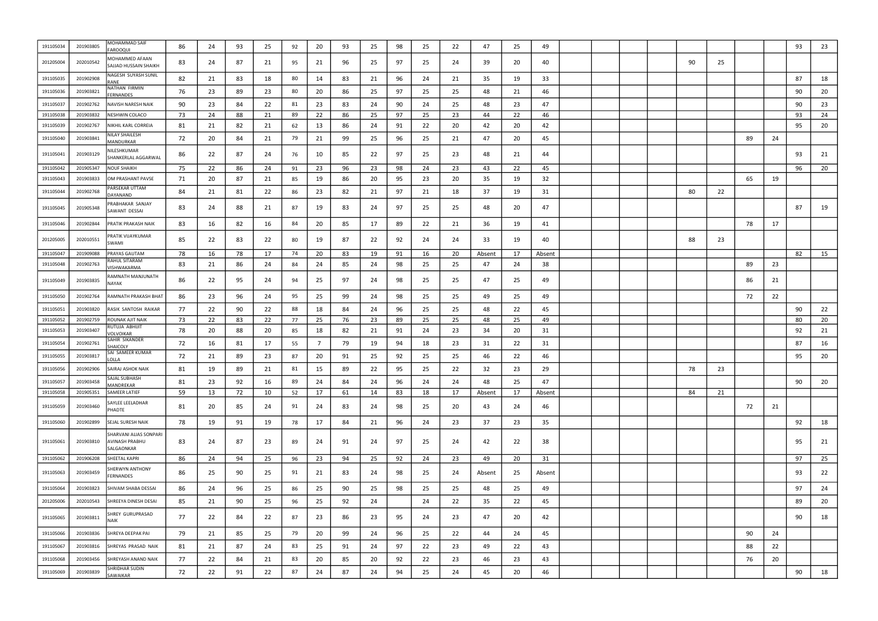| 191105034 | 201903805 | MOHAMMAD SAIF<br><b>AROOQUI</b>                        | 86  | 24 | 93 | -25 | 92                  | 20      | 93       | 25       | 98 | 25       | 22      | 47     | 25       | 49     |  |  |    |    |    |    | 93 | 23 |
|-----------|-----------|--------------------------------------------------------|-----|----|----|-----|---------------------|---------|----------|----------|----|----------|---------|--------|----------|--------|--|--|----|----|----|----|----|----|
| 201205004 | 202010542 | <b><i>AOHAMMED AFAAN</i></b><br>SAJJAD HUSSAIN SHAIKH  | 83  | 24 | 87 | -21 | 95                  | 21      | 96       | 25       | 97 | 25       | 24      | 39     | 20       | 40     |  |  | 90 | 25 |    |    |    |    |
| 191105035 | 201902908 | NAGESH SUYASH SUNIL<br><b>RANE</b>                     | 82  | 21 | 83 | 18  | 80                  | 14      | 83       | 21       | 96 | 24       | 21      | 35     | 19       | 33     |  |  |    |    |    |    | 87 | 18 |
| 191105036 | 201903821 | NATHAN FIRMIN<br><b>ERNANDES</b>                       | 76  | 23 | 89 | 23  | 80                  | 20      | 86       | 25       | 97 | 25       | 25      | 48     | 21       | 46     |  |  |    |    |    |    | 90 | 20 |
| 191105037 | 201902762 | NAVISH NARESH NAIK                                     | 90  | 23 | 84 | 22  | 81                  | 23      | 83       | 24       | 90 | 24       | 25      | 48     | 23       | 47     |  |  |    |    |    |    | 90 | 23 |
| 191105038 | 201903832 | NESHWIN COLACO                                         | -73 | 24 | 88 | 21  | 89                  | 22      | 86       | 25       | 97 | 25       | 23      | 44     | 22       | 46     |  |  |    |    |    |    | 93 | 24 |
| 191105039 | 201902767 | NIKHIL KARL CORREIA                                    | 81  | 21 | 82 | 21  | 62                  | 13      | 86       | 24       | 91 | 22       | 20      | 42     | 20       | 42     |  |  |    |    |    |    | 95 | 20 |
| 191105040 | 201903841 | VILAY SHAILESH<br>MANDURKAR                            | 72  | 20 | 84 | 21  | 79                  | 21      | 99       | 25       | 96 | 25       | 21      | 47     | 20       | 45     |  |  |    |    | 89 | 24 |    |    |
| 191105041 | 201903129 | IILESHKUMAR<br>SHANKERLAL AGGARWAL                     | 86  | 22 | 87 | -24 | 76                  | 10      | 85       | 22       | 97 | 25       | 23      | 48     | 21       | 44     |  |  |    |    |    |    | 93 | 21 |
| 191105042 | 201905347 | <b>NOUF SHAIKH</b>                                     | -75 | 22 | 86 | 24  | 91                  | 23      | 96       | 23       | 98 | 24       | 23      | 43     | 22       | 45     |  |  |    |    |    |    | 96 | 20 |
| 191105043 | 201903833 | OM PRASHANT PAVSE                                      | 71  | 20 | 87 | 21  | 85                  | 19      | 86       | 20       | 95 | 23       | 20      | 35     | 19       | 32     |  |  |    |    | 65 | 19 |    |    |
| 191105044 | 201902768 | ARSEKAR UTTAM<br>DAYANAND                              | 84  | 21 | 81 | 22  | 86                  | 23      | 82       | 21       | 97 | 21       | 18      | 37     | 19       | 31     |  |  | 80 | 22 |    |    |    |    |
| 191105045 | 201905348 | PRABHAKAR SANJAY<br>SAWANT DESSAI                      | 83  | 24 | 88 | 21  | 87                  | 19      | 83       | 24       | 97 | 25       | 25      | 48     | 20       | 47     |  |  |    |    |    |    | 87 | 19 |
| 191105046 | 201902844 | PRATIK PRAKASH NAIK                                    | 83  | 16 | 82 | 16  | 84                  | 20      | 85       | 17       | 89 | 22       | 21      | 36     | 19       | 41     |  |  |    |    | 78 | 17 |    |    |
| 201205005 | 202010551 | PRATIK VIJAYKUMAR<br>SWAMI                             | 85  | 22 | 83 | 22  | 80                  | 19      | 87       | 22       | 92 | 24       | 24      | 33     | 19       | 40     |  |  | 88 | 23 |    |    |    |    |
| 191105047 | 201909088 | PRAYAS GAUTAM<br>RAHUL SITARAM                         | 78  | 16 | 78 | 17  | 74                  | 20      | 83       | 19       | 91 | 16       | 20      | Absent | 17       | Absent |  |  |    |    |    |    | 82 | 15 |
| 191105048 | 201902763 | <b>/ISHWAKARMA</b>                                     | 83  | 21 | 86 | -24 | 84                  | 24      | 85       | 24       | 98 | 25       | 25      | 47     | 24       | 38     |  |  |    |    | 89 | 23 |    |    |
| 191105049 | 201903835 | RAMNATH MANJUNATH<br>NAYAK                             | 86  | 22 | 95 | -24 | 94                  | 25      | 97       | 24       | 98 | 25       | 25      | 47     | 25       | 49     |  |  |    |    | 86 | 21 |    |    |
| 191105050 | 201902764 | RAMNATH PRAKASH BHAT                                   | 86  | 23 | 96 | 24  | 95                  | 25      | 99       | 24       | 98 | 25       | 25      | 49     | 25       | 49     |  |  |    |    | 72 | 22 |    |    |
| 191105051 | 201903820 | RASIK SANTOSH RAIKAR                                   | 77  | 22 | 90 | -22 | 88                  | 18      | 84       | 24       | 96 | 25       | 25      | 48     | 22       | 45     |  |  |    |    |    |    | 90 | 22 |
| 191105052 | 201902759 | ROUNAK AJIT NAIK                                       | -73 | 22 | 83 | 22  | 77                  | 25      | 76       | 23       | 89 | 25       | 25      | 48     | 25       | 49     |  |  |    |    |    |    | 80 | 20 |
| 191105053 | 201903407 | RUTUJA ABHIJIT<br>/OLVOIKAR                            | 78  | 20 | 88 | -20 | 85                  | 18      | 82       | 21       | 91 | 24       | 23      | 34     | 20       | 31     |  |  |    |    |    |    | 92 | 21 |
| 191105054 | 201902761 | SAHIR SIKANDER<br>SHAICOLY                             | 72  | 16 | 81 | 17  | 55                  |         | 79       | 19       | 94 | 18       | 23      | 31     | 22       | 31     |  |  |    |    |    |    | 87 | 16 |
| 191105055 | 201903817 | SAI SAMEER KUMAR<br>OLLA.                              | 72  | 21 | 89 | 23  | 87                  | 20      | 91       | 25       | 92 | 25       | 25      | 46     | 22       | 46     |  |  |    |    |    |    | 95 | 20 |
| 191105056 | 201902906 | SAIRAJ ASHOK NAIK                                      | 81  | 19 | 89 | 21  | R <sub>1</sub><br>ິ | 15<br>ᆚ | ΩΩ<br>ບບ | つつ<br>∠∠ | 95 | つに<br>رے | 22<br>ᅩ | 32     | วว<br>رے | 29     |  |  | 78 | 23 |    |    |    |    |
| 191105057 | 201903458 | SAJAL SUBHASH<br>MANDREKAR                             | 81  | 23 | 92 | 16  | 89                  | 24      | 84       | 24       | 96 | 24       | 24      | 48     | 25       | 47     |  |  |    |    |    |    | 90 | 20 |
| 191105058 | 201905351 | <b>SAMEER LATIEF</b>                                   | 59  | 13 | 72 | 10  | 52                  | 17      | 61       | 14       | 83 | 18       | 17      | Absent | 17       | Absent |  |  | 84 | 21 |    |    |    |    |
| 191105059 | 201903460 | SAYLEE LEELADHAR<br>PHADTE                             | 81  | 20 | 85 | 24  | 91                  | 24      | 83       | 24       | 98 | 25       | 20      | 43     | 24       | 46     |  |  |    |    | 72 | 21 |    |    |
| 191105060 | 201902899 | SEJAL SURESH NAIK                                      | 78  | 19 | 91 | 19  | 78                  | 17      | 84       | 21       | 96 | 24       | 23      | 37     | 23       | 35     |  |  |    |    |    |    | 92 | 18 |
| 191105061 | 201903810 | SHARVANI ALIAS SONPARI<br>AVINASH PRABHU<br>SALGAONKAR | 83  | 24 | 87 | 23  | 89                  | 24      | 91       | 24       | 97 | 25       | 24      | 42     | 22       | 38     |  |  |    |    |    |    | 95 | 21 |
| 191105062 | 201906208 | <b>SHEETAL KAPRI</b>                                   | 86  | 24 | 94 | 25  | 96                  | 23      | 94       | 25       | 92 | 24       | 23      | 49     | 20       | 31     |  |  |    |    |    |    | 97 | 25 |
| 191105063 | 201903459 | <b>SHERWYN ANTHONY</b><br><b>ERNANDES</b>              | 86  | 25 | 90 | -25 | 91                  | 21      | 83       | 24       | 98 | 25       | 24      | Absent | 25       | Absent |  |  |    |    |    |    | 93 | 22 |
| 191105064 | 201903823 | SHIVAM SHABA DESSAI                                    | 86  | 24 | 96 | 25  | 86                  | 25      | 90       | 25       | 98 | 25       | 25      | 48     | 25       | 49     |  |  |    |    |    |    | 97 | 24 |
| 201205006 | 202010543 | SHREEYA DINESH DESAI                                   | 85  | 21 | 90 | 25  | 96                  | 25      | 92       | 24       |    | 24       | 22      | 35     | 22       | 45     |  |  |    |    |    |    | 89 | 20 |
| 191105065 | 201903811 | SHREY GURUPRASAD<br><b>NAIK</b>                        | 77  | 22 | 84 | 22  | 87                  | 23      | 86       | 23       | 95 | 24       | 23      | 47     | 20       | 42     |  |  |    |    |    |    | 90 | 18 |
| 191105066 | 201903836 | SHREYA DEEPAK PAI                                      | 79  | 21 | 85 | 25  | 79                  | 20      | 99       | 24       | 96 | 25       | 22      | 44     | 24       | 45     |  |  |    |    | 90 | 24 |    |    |
| 191105067 | 201903816 | SHREYAS PRASAD NAIK                                    | 81  | 21 | 87 | 24  | 83                  | 25      | 91       | 24       | 97 | 22       | 23      | 49     | 22       | 43     |  |  |    |    | 88 | 22 |    |    |
| 191105068 | 201903456 | SHREYASH ANAND NAIK                                    | 77  | 22 | 84 | 21  | 83                  | 20      | 85       | 20       | 92 | 22       | 23      | 46     | 23       | 43     |  |  |    |    | 76 | 20 |    |    |
| 191105069 | 201903839 | SHRIDHAR SUDIN<br>SAWAIKAR                             | 72  | 22 | 91 | 22  | 87                  | 24      | 87       | 24       | 94 | 25       | 24      | 45     | 20       | 46     |  |  |    |    |    |    | 90 | 18 |